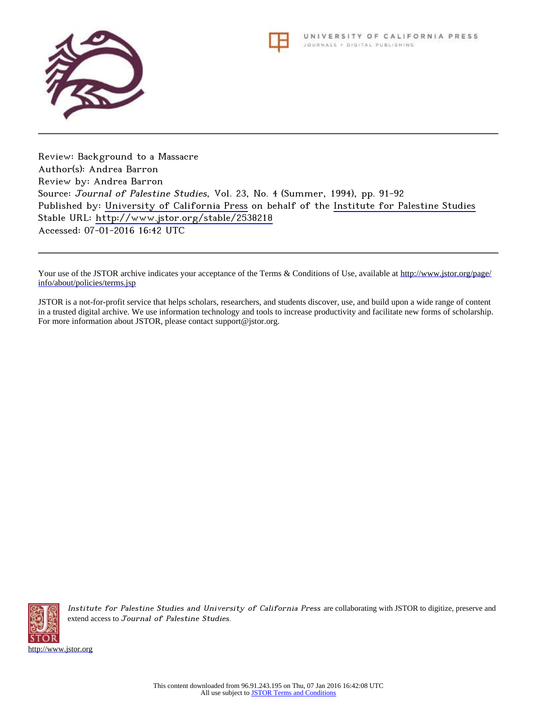



Review: Background to a Massacre Author(s): Andrea Barron Review by: Andrea Barron Source: Journal of Palestine Studies, Vol. 23, No. 4 (Summer, 1994), pp. 91-92 Published by: [University of California Press](http://www.jstor.org/publisher/ucal) on behalf of the [Institute for Palestine Studies](http://www.jstor.org/publisher/palstud) Stable URL: <http://www.jstor.org/stable/2538218> Accessed: 07-01-2016 16:42 UTC

Your use of the JSTOR archive indicates your acceptance of the Terms & Conditions of Use, available at [http://www.jstor.org/page/](http://www.jstor.org/page/info/about/policies/terms.jsp) [info/about/policies/terms.jsp](http://www.jstor.org/page/info/about/policies/terms.jsp)

JSTOR is a not-for-profit service that helps scholars, researchers, and students discover, use, and build upon a wide range of content in a trusted digital archive. We use information technology and tools to increase productivity and facilitate new forms of scholarship. For more information about JSTOR, please contact support@jstor.org.



Institute for Palestine Studies and University of California Press are collaborating with JSTOR to digitize, preserve and extend access to Journal of Palestine Studies.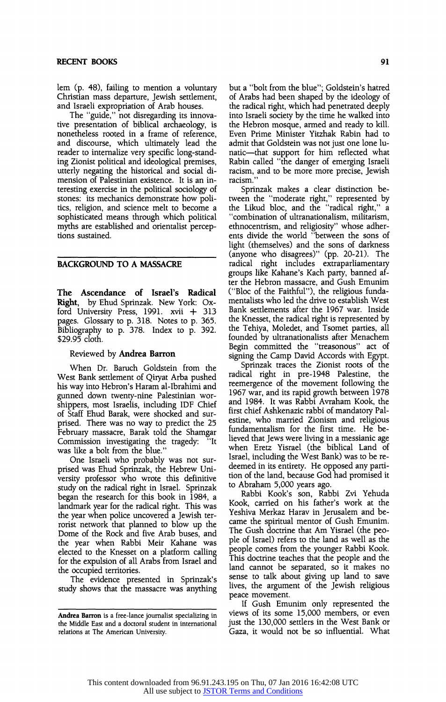lem (p. 48), failing to mention a voluntary Christian mass departure, Jewish settlement, and Israeli expropriation of Arab houses.

The "guide," not disregarding its innovative presentation of biblical archaeology, is nonetheless rooted in a frame of reference, and discourse, which ultimately lead the reader to internalize very specific long-standing Zionist political and ideological premises, utterly negating the historical and social dimension of Palestinian existence. It is an interesting exercise in the political sociology of stones: its mechanics demonstrate how politics, religion, and science melt to become a sophisticated means through which political myths are established and orientalist perceptions sustained.

## BACKGROUND TO A MASSACRE

The Ascendance of Israel's Radical Right, by Ehud Sprinzak. New York: Oxford University Press, 1991. xvii + 313 pages. Glossary to p. 318. Notes to p. 365. Bibliography to p. 378. Index to p. 392. \$29.95 cloth.

## Reviewed by Andrea Barron

When Dr. Baruch Goldstein from the West Bank settlement of Qiryat Arba pushed his way into Hebron's Haram al-Ibrahimi and gunned down twenty-nine Palestinian worshippers, most Israelis, including IDF Chief of Staff Ehud Barak, were shocked and surprised. There was no way to predict the 25 February massacre, Barak told the Shamgar Commission investigating the tragedy: "It was like a bolt from the blue.'

One Israeli who probably was not surprised was Ehud Sprinzak, the Hebrew University professor who wrote this definitive study on the radical right in Israel. Sprinzak began the research for this book in 1984, a landmark year for the radical right. This was the year when police uncovered a Jewish terrorist network that planned to blow up the Dome of the Rock and five Arab buses, and the year when Rabbi Meir Kahane was elected to the Knesset on a platform calling for the expulsion of all Arabs from Israel and the occupied territories.

The evidence presented in Sprinzak's study shows that the massacre was anything but a "bolt from the blue"; Goldstein's hatred of Arabs had been shaped by the ideology of the radical right, which had penetrated deeply into Israeli society by the time he walked into the Hebron mosque, armed and ready to kill. Even Prime Minister Yitzhak Rabin had to admit that Goldstein was not just one lone lunatic-that support for him reflected what Rabin called "the danger of emerging Israeli racism, and to be more more precise, Jewish racism."

Sprinzak makes a clear distinction between the "moderate right," represented by the Likud bloc, and the "radical right," a "combination of ultranationalism, militarism, ethnocentrism, and religiosity" whose adherents divide the world "between the sons of light (themselves) and the sons of darkness (anyone who disagrees)" (pp. 20-21). The radical right includes extraparliamentary groups like Kahane's Kach party, banned after the Hebron massacre, and Gush Emunim ("Bloc of the Faithful"), the religious fundamentalists who led the drive to establish West Bank settlements after the 1967 war. Inside the Knesset, the radical right is represented by the Tehiya, Moledet, and Tsomet parties, all founded by ultranationalists after Menachem Begin committed the "treasonous" act of signing the Camp David Accords with Egypt.

Sprinzak traces the Zionist roots of the radical right in pre-1948 Palestine, the reemergence of the movement following the 1967 war, and its rapid growth between 1978 and 1984. It was Rabbi Avraham Kook, the first chief Ashkenazic rabbi of mandatory Palestine, who married Zionism and religious fundamentalism for the first time. He believed that Jews were living in a messianic age when Eretz Yisrael (the biblical Land of Israel, including the West Bank) was to be redeemed in its entirety. He opposed any partition of the land, because God had promised it to Abraham 5,000 years ago.

Rabbi Kook's son, Rabbi Zvi Yehuda Kook, carried on his father's work at the Yeshiva Merkaz Harav in Jerusalem and became the spiritual mentor of Gush Emunim. The Gush doctrine that Am Yisrael (the people of Israel) refers to the land as well as the people comes from the younger Rabbi Kook. This doctrine teaches that the people and the land cannot be separated, so it makes no sense to talk about giving up land to save lives, the argument of the Jewish religious peace movement.

If Gush Emunim only represented the views of its some 15,000 members, or even just the 130,000 settlers in the West Bank or Gaza, it would not be so influential. What

Andrea Barron is a free-lance journalist specializing in the Middle East and a doctoral student in international relations at The American University.